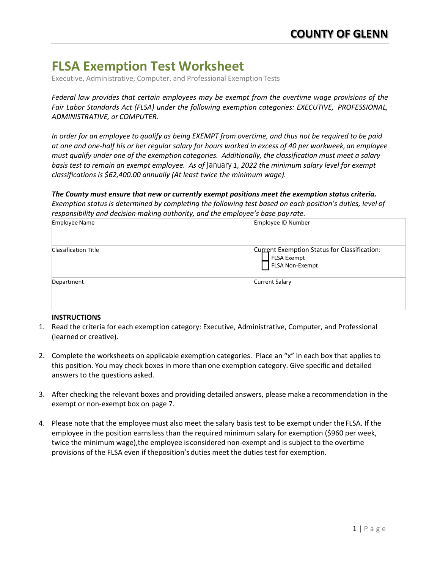# **FLSA Exemption Test Worksheet**

Executive, Administrative, Computer, and Professional ExemptionTests

*Federal law provides that certain employees may be exempt from the overtime wage provisions of the Fair Labor Standards Act (FLSA) under the following exemption categories: EXECUTIVE, PROFESSIONAL, ADMINISTRATIVE, or COMPUTER.*

In order for an employee to qualify as being EXEMPT from overtime, and thus not be required to be paid *at one and one-half his or her regular salary for hours worked in excess of 40 per workweek, an employee must qualify under one of the exemption categories. Additionally, the classification must meet a salary basis test to remain an exempt employee. As of January 1, 2022 the minimum salary level for exempt classifications is \$62,400.00 annually (At least twice the minimum wage).*

#### *The County must ensure that new or currently exempt positions meet the exemption status criteria.*

*Exemption status is determined by completing the following test based on each position's duties, level of responsibility and decision making authority, and the employee's base pay rate.*

| <b>Employee Name</b>        | Employee ID Number                                                             |
|-----------------------------|--------------------------------------------------------------------------------|
| <b>Classification Title</b> | Current Exemption Status for Classification:<br>FLSA Exempt<br>FLSA Non-Exempt |
| Department                  | <b>Current Salary</b>                                                          |

#### **INSTRUCTIONS**

- 1. Read the criteria for each exemption category: Executive, Administrative, Computer, and Professional (learnedor creative).
- 2. Complete the worksheets on applicable exemption categories. Place an "x" in each box that applies to this position. You may check boxes in more than one exemption category. Give specific and detailed answers to the questions asked.
- 3. After checking the relevant boxes and providing detailed answers, please make a recommendation in the exempt or non-exempt box on page 7.
- 4. Please note that the employee must also meet the salary basis test to be exempt under theFLSA. If the employee in the position earnsless than the required minimum salary for exemption (\$960 per week, twice the minimum wage),the employee is considered non-exempt and is subject to the overtime provisions of the FLSA even if theposition's duties meet the duties test for exemption.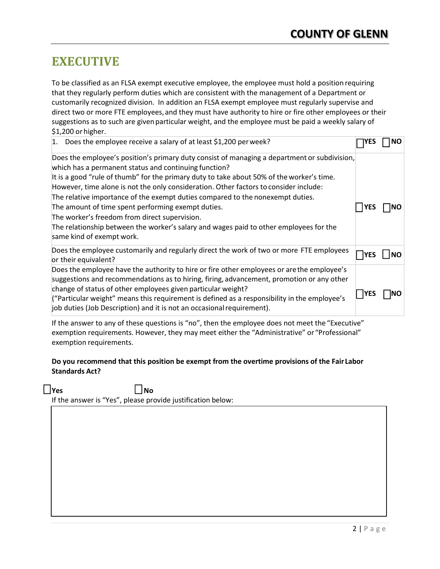## **EXECUTIVE**

To be classified as an FLSA exempt executive employee, the employee must hold a position requiring that they regularly perform duties which are consistent with the management of a Department or customarily recognized division. In addition an FLSA exempt employee must regularly supervise and direct two or more FTE employees, and they must have authority to hire or fire other employees or their suggestions as to such are given particular weight, and the employee must be paid a weekly salary of \$1,200 or higher.

| Does the employee receive a salary of at least \$1,200 per week?                                                                                                                                                                                                                                                                                                                                                                                                                                                                                                                                                                                            | YES         | <b>NO</b> |
|-------------------------------------------------------------------------------------------------------------------------------------------------------------------------------------------------------------------------------------------------------------------------------------------------------------------------------------------------------------------------------------------------------------------------------------------------------------------------------------------------------------------------------------------------------------------------------------------------------------------------------------------------------------|-------------|-----------|
| Does the employee's position's primary duty consist of managing a department or subdivision,<br>which has a permanent status and continuing function?<br>It is a good "rule of thumb" for the primary duty to take about 50% of the worker's time.<br>However, time alone is not the only consideration. Other factors to consider include:<br>The relative importance of the exempt duties compared to the nonexempt duties.<br>The amount of time spent performing exempt duties.<br>The worker's freedom from direct supervision.<br>The relationship between the worker's salary and wages paid to other employees for the<br>same kind of exempt work. | YES         |           |
| Does the employee customarily and regularly direct the work of two or more FTE employees<br>or their equivalent?                                                                                                                                                                                                                                                                                                                                                                                                                                                                                                                                            | lYES        |           |
| Does the employee have the authority to hire or fire other employees or are the employee's<br>suggestions and recommendations as to hiring, firing, advancement, promotion or any other<br>change of status of other employees given particular weight?<br>("Particular weight" means this requirement is defined as a responsibility in the employee's<br>job duties (Job Description) and it is not an occasional requirement).                                                                                                                                                                                                                           | <b>IYES</b> |           |

If the answer to any of these questions is "no", then the employee does not meet the "Executive" exemption requirements. However, they may meet either the "Administrative" or "Professional" exemption requirements.

### **Do you recommend that this position be exempt from the overtime provisions of the Fair Labor Standards Act?**

**□ Yes □ No**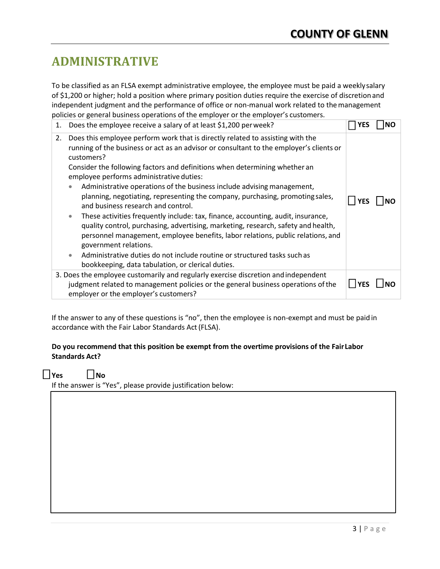# **ADMINISTRATIVE**

To be classified as an FLSA exempt administrative employee, the employee must be paid a weeklysalary of \$1,200 or higher; hold a position where primary position duties require the exercise of discretionand independent judgment and the performance of office or non-manual work related to themanagement policies or general business operations of the employer or the employer's customers.

| 1. | Does the employee receive a salary of at least \$1,200 per week?                                                                                                                                                                                                                                                                                                                                                                                                                                                                                                                                                                                                                                                                                                                                                                                                                                                                                                                |  |
|----|---------------------------------------------------------------------------------------------------------------------------------------------------------------------------------------------------------------------------------------------------------------------------------------------------------------------------------------------------------------------------------------------------------------------------------------------------------------------------------------------------------------------------------------------------------------------------------------------------------------------------------------------------------------------------------------------------------------------------------------------------------------------------------------------------------------------------------------------------------------------------------------------------------------------------------------------------------------------------------|--|
| 2. | Does this employee perform work that is directly related to assisting with the<br>running of the business or act as an advisor or consultant to the employer's clients or<br>customers?<br>Consider the following factors and definitions when determining whether an<br>employee performs administrative duties:<br>Administrative operations of the business include advising management,<br>$\bullet$<br>planning, negotiating, representing the company, purchasing, promoting sales,<br>and business research and control.<br>These activities frequently include: tax, finance, accounting, audit, insurance,<br>$\bullet$<br>quality control, purchasing, advertising, marketing, research, safety and health,<br>personnel management, employee benefits, labor relations, public relations, and<br>government relations.<br>Administrative duties do not include routine or structured tasks such as<br>$\bullet$<br>bookkeeping, data tabulation, or clerical duties. |  |
|    | 3. Does the employee customarily and regularly exercise discretion and independent<br>judgment related to management policies or the general business operations of the<br>employer or the employer's customers?                                                                                                                                                                                                                                                                                                                                                                                                                                                                                                                                                                                                                                                                                                                                                                |  |

If the answer to any of these questions is "no", then the employee is non-exempt and must be paid in accordance with the Fair Labor Standards Act(FLSA).

### **Do you recommend that this position be exempt from the overtime provisions of the FairLabor Standards Act?**

**□ Yes □ No**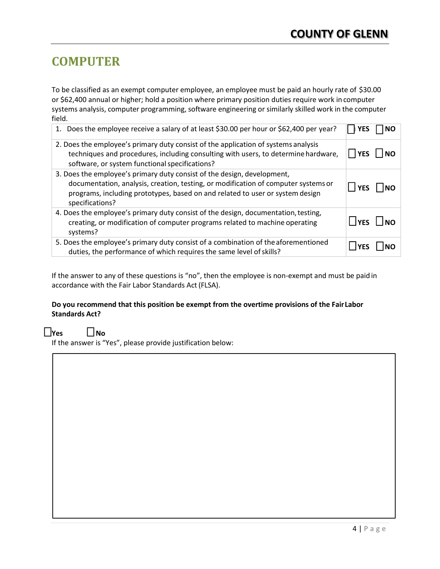# **COMPUTER**

To be classified as an exempt computer employee, an employee must be paid an hourly rate of \$30.00 or \$62,400 annual or higher; hold a position where primary position duties require work in computer systems analysis, computer programming, software engineering or similarly skilled work in the computer field.

| 1. Does the employee receive a salary of at least \$30.00 per hour or \$62,400 per year?                                                                                                                                                                          |                      |           |
|-------------------------------------------------------------------------------------------------------------------------------------------------------------------------------------------------------------------------------------------------------------------|----------------------|-----------|
| 2. Does the employee's primary duty consist of the application of systems analysis<br>techniques and procedures, including consulting with users, to determine hardware,<br>software, or system functional specifications?                                        | YES                  | NO        |
| 3. Does the employee's primary duty consist of the design, development,<br>documentation, analysis, creation, testing, or modification of computer systems or<br>programs, including prototypes, based on and related to user or system design<br>specifications? | YES                  | <b>NO</b> |
| 4. Does the employee's primary duty consist of the design, documentation, testing,<br>creating, or modification of computer programs related to machine operating<br>systems?                                                                                     | $\Box$ YES $\Box$ NO |           |
| 5. Does the employee's primary duty consist of a combination of the aforementioned<br>duties, the performance of which requires the same level of skills?                                                                                                         |                      |           |

If the answer to any of these questions is "no", then the employee is non-exempt and must be paidin accordance with the Fair Labor Standards Act (FLSA).

### **Do you recommend that this position be exempt from the overtime provisions of the FairLabor Standards Act?**

### **□ Yes □ No**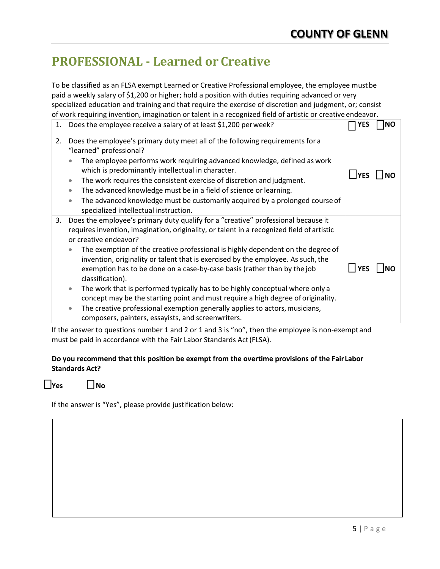# **PROFESSIONAL - Learned or Creative**

To be classified as an FLSA exempt Learned or Creative Professional employee, the employee mustbe paid a weekly salary of \$1,200 or higher; hold a position with duties requiring advanced or very specialized education and training and that require the exercise of discretion and judgment, or; consist of work requiring invention, imagination or talent in a recognized field of artistic or creative endeavor.

| 1. | Does the employee receive a salary of at least \$1,200 per week?                                                                                                                                                                                                                                                                                                                                                                                                                                                                                                                                                                                                                                                                                                                                                                |            |           |
|----|---------------------------------------------------------------------------------------------------------------------------------------------------------------------------------------------------------------------------------------------------------------------------------------------------------------------------------------------------------------------------------------------------------------------------------------------------------------------------------------------------------------------------------------------------------------------------------------------------------------------------------------------------------------------------------------------------------------------------------------------------------------------------------------------------------------------------------|------------|-----------|
| 2. | Does the employee's primary duty meet all of the following requirements for a<br>"learned" professional?<br>The employee performs work requiring advanced knowledge, defined as work<br>$\bullet$<br>which is predominantly intellectual in character.<br>The work requires the consistent exercise of discretion and judgment.<br>$\bullet$<br>The advanced knowledge must be in a field of science or learning.<br>$\bullet$<br>The advanced knowledge must be customarily acquired by a prolonged course of<br>$\bullet$<br>specialized intellectual instruction.                                                                                                                                                                                                                                                            | $\Box$ YES | <b>NO</b> |
| 3. | Does the employee's primary duty qualify for a "creative" professional because it<br>requires invention, imagination, originality, or talent in a recognized field of artistic<br>or creative endeavor?<br>The exemption of the creative professional is highly dependent on the degree of<br>$\bullet$<br>invention, originality or talent that is exercised by the employee. As such, the<br>exemption has to be done on a case-by-case basis (rather than by the job<br>classification).<br>The work that is performed typically has to be highly conceptual where only a<br>$\bullet$<br>concept may be the starting point and must require a high degree of originality.<br>The creative professional exemption generally applies to actors, musicians,<br>$\bullet$<br>composers, painters, essayists, and screenwriters. | $\Box$ YES |           |

If the answer to questions number 1 and 2 or 1 and 3 is "no", then the employee is non-exempt and must be paid in accordance with the Fair Labor Standards Act(FLSA).

#### **Do you recommend that this position be exempt from the overtime provisions of the FairLabor Standards Act?**

**□ Yes □ No**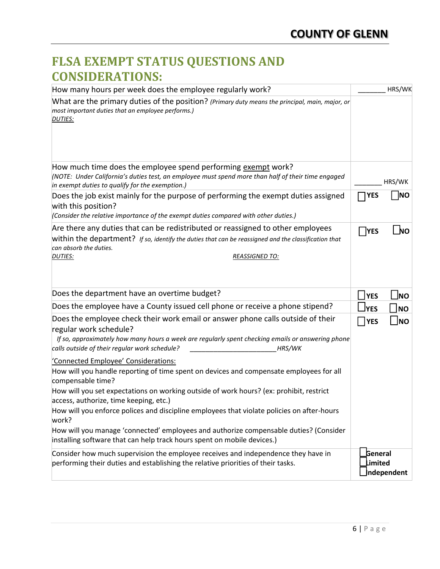# **FLSA EXEMPT STATUS QUESTIONS AND CONSIDERATIONS:**

| How many hours per week does the employee regularly work?                                                                                                                                                                                                                 |                           | HRS/WK     |
|---------------------------------------------------------------------------------------------------------------------------------------------------------------------------------------------------------------------------------------------------------------------------|---------------------------|------------|
| What are the primary duties of the position? (Primary duty means the principal, main, major, or<br>most important duties that an employee performs.)<br><b>DUTIES:</b>                                                                                                    |                           |            |
|                                                                                                                                                                                                                                                                           |                           |            |
| How much time does the employee spend performing exempt work?<br>(NOTE: Under California's duties test, an employee must spend more than half of their time engaged<br>in exempt duties to qualify for the exemption.)                                                    |                           | HRS/WK     |
| Does the job exist mainly for the purpose of performing the exempt duties assigned<br>with this position?<br>(Consider the relative importance of the exempt duties compared with other duties.)                                                                          | <b>YES</b>                | <b>NO</b>  |
| Are there any duties that can be redistributed or reassigned to other employees<br>within the department? If so, identify the duties that can be reassigned and the classification that<br>can absorb the duties.                                                         | <b>TYES</b>               | NO         |
| <b>DUTIES:</b><br><b>REASSIGNED TO:</b>                                                                                                                                                                                                                                   |                           |            |
| Does the department have an overtime budget?                                                                                                                                                                                                                              | $\Box$ YES                | <b>JNO</b> |
| Does the employee have a County issued cell phone or receive a phone stipend?                                                                                                                                                                                             | $\sqcup$ YES              | <b>NO</b>  |
| Does the employee check their work email or answer phone calls outside of their<br>regular work schedule?<br>If so, approximately how many hours a week are regularly spent checking emails or answering phone<br>calls outside of their regular work schedule?<br>HRS/WK | YES                       | $\Box$ NO  |
| 'Connected Employee' Considerations:                                                                                                                                                                                                                                      |                           |            |
| How will you handle reporting of time spent on devices and compensate employees for all<br>compensable time?                                                                                                                                                              |                           |            |
| How will you set expectations on working outside of work hours? (ex: prohibit, restrict<br>access, authorize, time keeping, etc.)                                                                                                                                         |                           |            |
| How will you enforce polices and discipline employees that violate policies on after-hours<br>work?                                                                                                                                                                       |                           |            |
| How will you manage 'connected' employees and authorize compensable duties? (Consider<br>installing software that can help track hours spent on mobile devices.)                                                                                                          |                           |            |
| Consider how much supervision the employee receives and independence they have in<br>performing their duties and establishing the relative priorities of their tasks.                                                                                                     | <b>General</b><br>Limited | ndependent |